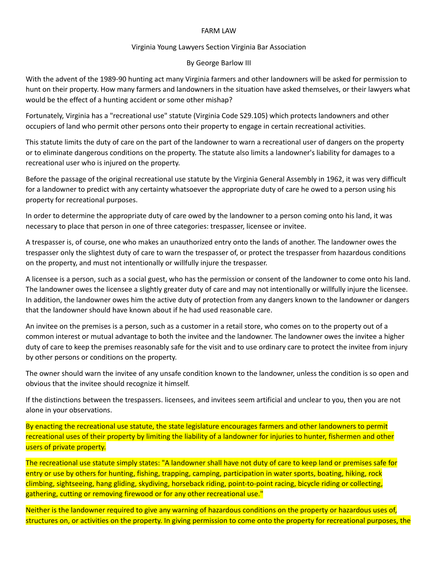## FARM LAW

## Virginia Young Lawyers Section Virginia Bar Association

## By George Barlow III

With the advent of the 1989-90 hunting act many Virginia farmers and other landowners will be asked for permission to hunt on their property. How many farmers and landowners in the situation have asked themselves, or their lawyers what would be the effect of a hunting accident or some other mishap?

Fortunately, Virginia has a "recreational use" statute (Virginia Code S29.105) which protects landowners and other occupiers of land who permit other persons onto their property to engage in certain recreational activities.

This statute limits the duty of care on the part of the landowner to warn a recreational user of dangers on the property or to eliminate dangerous conditions on the property. The statute also limits a landowner's liability for damages to a recreational user who is injured on the property.

Before the passage of the original recreational use statute by the Virginia General Assembly in 1962, it was very difficult for a landowner to predict with any certainty whatsoever the appropriate duty of care he owed to a person using his property for recreational purposes.

In order to determine the appropriate duty of care owed by the landowner to a person coming onto his land, it was necessary to place that person in one of three categories: trespasser, licensee or invitee.

A trespasser is, of course, one who makes an unauthorized entry onto the lands of another. The landowner owes the trespasser only the slightest duty of care to warn the trespasser of, or protect the trespasser from hazardous conditions on the property, and must not intentionally or willfully injure the trespasser.

A licensee is a person, such as a social guest, who has the permission or consent of the landowner to come onto his land. The landowner owes the licensee a slightly greater duty of care and may not intentionally or willfully injure the licensee. In addition, the landowner owes him the active duty of protection from any dangers known to the landowner or dangers that the landowner should have known about if he had used reasonable care.

An invitee on the premises is a person, such as a customer in a retail store, who comes on to the property out of a common interest or mutual advantage to both the invitee and the landowner. The landowner owes the invitee a higher duty of care to keep the premises reasonably safe for the visit and to use ordinary care to protect the invitee from injury by other persons or conditions on the property.

The owner should warn the invitee of any unsafe condition known to the landowner, unless the condition is so open and obvious that the invitee should recognize it himself.

If the distinctions between the trespassers. licensees, and invitees seem artificial and unclear to you, then you are not alone in your observations.

By enacting the recreational use statute, the state legislature encourages farmers and other landowners to permit recreational uses of their property by limiting the liability of a landowner for injuries to hunter, fishermen and other users of private property.

The recreational use statute simply states: "A landowner shall have not duty of care to keep land or premises safe for entry or use by others for hunting, fishing, trapping, camping, participation in water sports, boating, hiking, rock climbing, sightseeing, hang gliding, skydiving, horseback riding, point-to-point racing, bicycle riding or collecting, gathering, cutting or removing firewood or for any other recreational use."

Neither is the landowner required to give any warning of hazardous conditions on the property or hazardous uses of, structures on, or activities on the property. In giving permission to come onto the property for recreational purposes, the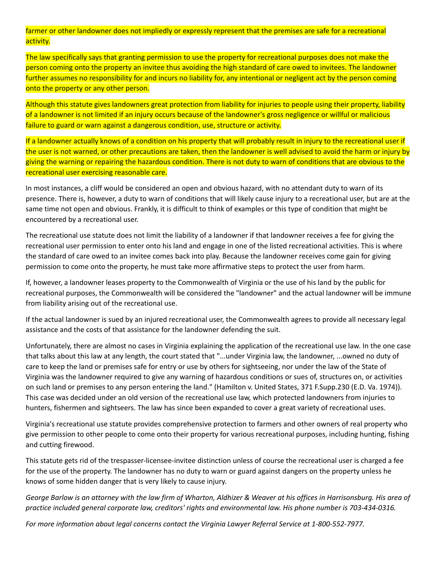farmer or other landowner does not impliedly or expressly represent that the premises are safe for a recreational activity.

The law specifically says that granting permission to use the property for recreational purposes does not make the person coming onto the property an invitee thus avoiding the high standard of care owed to invitees. The landowner further assumes no responsibility for and incurs no liability for, any intentional or negligent act by the person coming onto the property or any other person.

Although this statute gives landowners great protection from liability for injuries to people using their property, liability of a landowner is not limited if an injury occurs because of the landowner's gross negligence or willful or malicious failure to guard or warn against a dangerous condition, use, structure or activity.

If a landowner actually knows of a condition on his property that will probably result in injury to the recreational user if the user is not warned, or other precautions are taken, then the landowner is well advised to avoid the harm or injury by giving the warning or repairing the hazardous condition. There is not duty to warn of conditions that are obvious to the recreational user exercising reasonable care.

In most instances, a cliff would be considered an open and obvious hazard, with no attendant duty to warn of its presence. There is, however, a duty to warn of conditions that will likely cause injury to a recreational user, but are at the same time not open and obvious. Frankly, it is difficult to think of examples or this type of condition that might be encountered by a recreational user.

The recreational use statute does not limit the liability of a landowner if that landowner receives a fee for giving the recreational user permission to enter onto his land and engage in one of the listed recreational activities. This is where the standard of care owed to an invitee comes back into play. Because the landowner receives come gain for giving permission to come onto the property, he must take more affirmative steps to protect the user from harm.

If, however, a landowner leases property to the Commonwealth of Virginia or the use of his land by the public for recreational purposes, the Commonwealth will be considered the "landowner" and the actual landowner will be immune from liability arising out of the recreational use.

If the actual landowner is sued by an injured recreational user, the Commonwealth agrees to provide all necessary legal assistance and the costs of that assistance for the landowner defending the suit.

Unfortunately, there are almost no cases in Virginia explaining the application of the recreational use law. In the one case that talks about this law at any length, the court stated that "...under Virginia law, the landowner, ...owned no duty of care to keep the land or premises safe for entry or use by others for sightseeing, nor under the law of the State of Virginia was the landowner required to give any warning of hazardous conditions or sues of, structures on, or activities on such land or premises to any person entering the land." (Hamilton v. United States, 371 F.Supp.230 (E.D. Va. 1974)). This case was decided under an old version of the recreational use law, which protected landowners from injuries to hunters, fishermen and sightseers. The law has since been expanded to cover a great variety of recreational uses.

Virginia's recreational use statute provides comprehensive protection to farmers and other owners of real property who give permission to other people to come onto their property for various recreational purposes, including hunting, fishing and cutting firewood.

This statute gets rid of the trespasser-licensee-invitee distinction unless of course the recreational user is charged a fee for the use of the property. The landowner has no duty to warn or guard against dangers on the property unless he knows of some hidden danger that is very likely to cause injury.

George Barlow is an attorney with the law firm of Wharton, Aldhizer & Weaver at his offices in Harrisonsburg. His area of *practice included general corporate law, creditors' rights and environmental law. His phone number is 703-434-0316.*

*For more information about legal concerns contact the Virginia Lawyer Referral Service at 1-800-552-7977.*